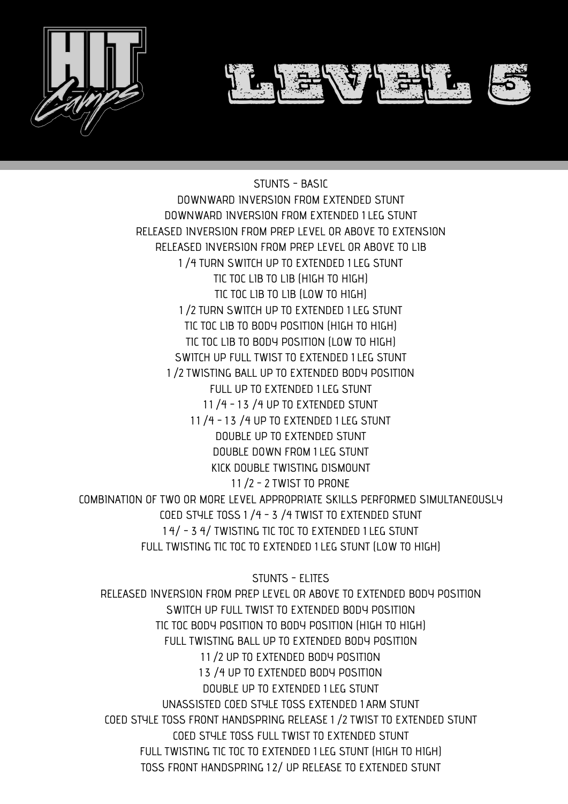

STUNTS - BASIC DOWNWARD INVERSION FROM EXTENDED STUNT DOWNWARD INVERSION FROM EXTENDED 1 LEG STUNT RELEASED INVERSION FROM PREP LEVEL OR ABOVE TO EXTENSION RELEASED INVERSION FROM PREP LEVEL OR ABOVE TO LIB 1 ⁄4 TURN SWITCH UP TO EXTENDED 1 LEG STUNT TIC TOC LIB TO LIB (HIGH TO HIGH) TIC TOC LIB TO LIB (LOW TO HIGH) 1 ⁄2 TURN SWITCH UP TO EXTENDED 1 LEG STUNT TIC TOC LIB TO BODY POSITION (HIGH TO HIGH) TIC TOC LIB TO BODY POSITION (LOW TO HIGH) SWITCH UP FULL TWIST TO EXTENDED 1 LEG STUNT 1 ⁄2 TWISTING BALL UP TO EXTENDED BODY POSITION FULL UP TO EXTENDED 1 LEG STUNT 11/4 - 13/4 UP TO EXTENDED STUNT 1 1 ⁄4 - 1 3 ⁄4 UP TO EXTENDED 1 LEG STUNT

DOUBLE UP TO EXTENDED STUNT DOUBLE DOWN FROM 1 LEG STUNT KICK DOUBLE TWISTING DISMOUNT 1 1 ⁄2 - 2 TWIST TO PRONE COMBINATION OF TWO OR MORE LEVEL APPROPRIATE SKILLS PERFORMED SIMULTANEOUSLY COED STYLE TOSS 1 ⁄4 - 3 ⁄4 TWIST TO EXTENDED STUNT 1 4⁄ - 3 4⁄ TWISTING TIC TOC TO EXTENDED 1 LEG STUNT FULL TWISTING TIC TOC TO EXTENDED 1 LEG STUNT (LOW TO HIGH)

STUNTS - ELITES RELEASED INVERSION FROM PREP LEVEL OR ABOVE TO EXTENDED BODY POSITION SWITCH UP FULL TWIST TO EXTENDED BODY POSITION TIC TOC BODY POSITION TO BODY POSITION (HIGH TO HIGH) FULL TWISTING BALL UP TO EXTENDED BODY POSITION 11 /2 UP TO EXTENDED BODY POSITION 13 /4 UP TO EXTENDED BODY POSITION DOUBLE UP TO EXTENDED 1 LEG STUNT UNASSISTED COED STYLE TOSS EXTENDED 1 ARM STUNT COED STYLE TOSS FRONT HANDSPRING RELEASE 1 ⁄2 TWIST TO EXTENDED STUNT COED STYLE TOSS FULL TWIST TO EXTENDED STUNT FULL TWISTING TIC TOC TO EXTENDED 1 LEG STUNT (HIGH TO HIGH) TOSS FRONT HANDSPRING 1 2⁄ UP RELEASE TO EXTENDED STUNT